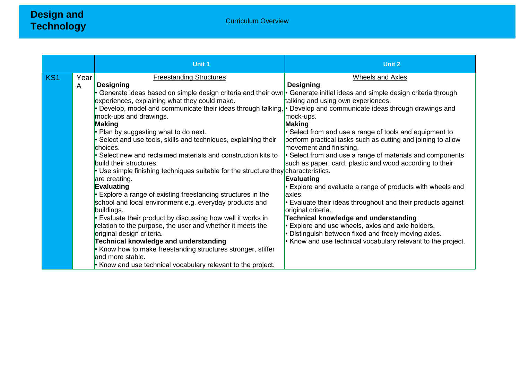|                 |      | <b>Unit 1</b>                                                                                                            | <b>Unit 2</b>                                                      |
|-----------------|------|--------------------------------------------------------------------------------------------------------------------------|--------------------------------------------------------------------|
| KS <sub>1</sub> | Year | <b>Freestanding Structures</b>                                                                                           | <b>Wheels and Axles</b>                                            |
|                 | A    | <b>Designing</b>                                                                                                         | <b>Designing</b>                                                   |
|                 |      | Generate ideas based on simple design criteria and their own • Generate initial ideas and simple design criteria through |                                                                    |
|                 |      | experiences, explaining what they could make.                                                                            | talking and using own experiences.                                 |
|                 |      | • Develop, model and communicate their ideas through talking, $\cdot$ Develop and communicate ideas through drawings and |                                                                    |
|                 |      | mock-ups and drawings.                                                                                                   | mock-ups.                                                          |
|                 |      | Making                                                                                                                   | Making                                                             |
|                 |      | $\cdot$ Plan by suggesting what to do next.                                                                              | $\cdot$ Select from and use a range of tools and equipment to      |
|                 |      | $\cdot$ Select and use tools, skills and techniques, explaining their                                                    | perform practical tasks such as cutting and joining to allow       |
|                 |      | choices.                                                                                                                 | movement and finishing.                                            |
|                 |      | $\cdot$ Select new and reclaimed materials and construction kits to                                                      | • Select from and use a range of materials and components          |
|                 |      | build their structures.                                                                                                  | such as paper, card, plastic and wood according to their           |
|                 |      | • Use simple finishing techniques suitable for the structure they characteristics.                                       |                                                                    |
|                 |      | are creating.                                                                                                            | Evaluating                                                         |
|                 |      | Evaluating                                                                                                               | $\cdot$ Explore and evaluate a range of products with wheels and   |
|                 |      | $\cdot$ Explore a range of existing freestanding structures in the                                                       | laxles.                                                            |
|                 |      | school and local environment e.g. everyday products and                                                                  | $\cdot$ Evaluate their ideas throughout and their products against |
|                 |      | buildings.                                                                                                               | original criteria.                                                 |
|                 |      | $\cdot$ Evaluate their product by discussing how well it works in                                                        | Technical knowledge and understanding                              |
|                 |      | relation to the purpose, the user and whether it meets the                                                               | Explore and use wheels, axles and axle holders.                    |
|                 |      | original design criteria.                                                                                                | • Distinguish between fixed and freely moving axles.               |
|                 |      | Technical knowledge and understanding                                                                                    | • Know and use technical vocabulary relevant to the project.       |
|                 |      | $\cdot$ Know how to make freestanding structures stronger, stiffer                                                       |                                                                    |
|                 |      | and more stable.                                                                                                         |                                                                    |
|                 |      | $\cdot$ Know and use technical vocabulary relevant to the project.                                                       |                                                                    |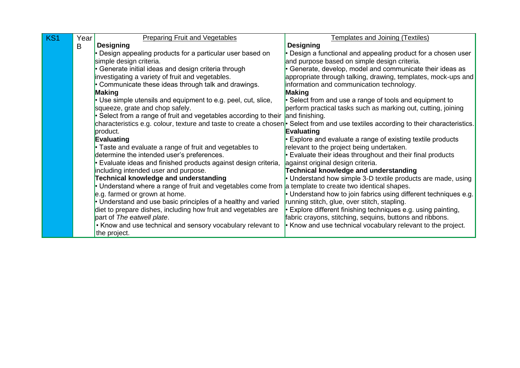| KS1 | Year | <b>Preparing Fruit and Vegetables</b>                                                                                 | <b>Templates and Joining (Textiles)</b>                          |
|-----|------|-----------------------------------------------------------------------------------------------------------------------|------------------------------------------------------------------|
|     | B    | <b>Designing</b>                                                                                                      | <b>Designing</b>                                                 |
|     |      | • Design appealing products for a particular user based on                                                            | Design a functional and appealing product for a chosen user      |
|     |      | simple design criteria.                                                                                               | and purpose based on simple design criteria.                     |
|     |      | • Generate initial ideas and design criteria through                                                                  | Generate, develop, model and communicate their ideas as          |
|     |      | investigating a variety of fruit and vegetables.                                                                      | appropriate through talking, drawing, templates, mock-ups and    |
|     |      | • Communicate these ideas through talk and drawings.                                                                  | information and communication technology.                        |
|     |      | Making                                                                                                                | Making                                                           |
|     |      | $\cdot$ Use simple utensils and equipment to e.g. peel, cut, slice,                                                   | Select from and use a range of tools and equipment to            |
|     |      | squeeze, grate and chop safely.                                                                                       | perform practical tasks such as marking out, cutting, joining    |
|     |      | Select from a range of fruit and vegetables according to their                                                        | and finishing.                                                   |
|     |      | characteristics e.g. colour, texture and taste to create a chosen <sup>.</sup>                                        | Select from and use textiles according to their characteristics. |
|     |      | product.                                                                                                              | <b>Evaluating</b>                                                |
|     |      | Evaluating                                                                                                            | Explore and evaluate a range of existing textile products        |
|     |      | • Taste and evaluate a range of fruit and vegetables to                                                               | relevant to the project being undertaken.                        |
|     |      | determine the intended user's preferences.                                                                            | Evaluate their ideas throughout and their final products         |
|     |      | • Evaluate ideas and finished products against design criteria,                                                       | against original design criteria.                                |
|     |      | including intended user and purpose.                                                                                  | Technical knowledge and understanding                            |
|     |      | <b>Technical knowledge and understanding</b>                                                                          | Understand how simple 3-D textile products are made, using       |
|     |      | $\cdot$ Understand where a range of fruit and vegetables come from $\vert$ a template to create two identical shapes. |                                                                  |
|     |      | e.g. farmed or grown at home.                                                                                         | Understand how to join fabrics using different techniques e.g.   |
|     |      | • Understand and use basic principles of a healthy and varied                                                         | running stitch, glue, over stitch, stapling.                     |
|     |      | diet to prepare dishes, including how fruit and vegetables are                                                        | Explore different finishing techniques e.g. using painting,      |
|     |      | part of The eatwell plate.                                                                                            | fabric crayons, stitching, sequins, buttons and ribbons.         |
|     |      | • Know and use technical and sensory vocabulary relevant to                                                           | • Know and use technical vocabulary relevant to the project.     |
|     |      | the project.                                                                                                          |                                                                  |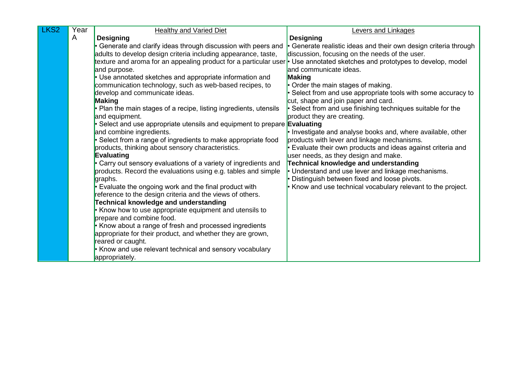| LKS <sub>2</sub> | Year | <b>Healthy and Varied Diet</b>                                                                                             | <b>Levers and Linkages</b>                                                                      |
|------------------|------|----------------------------------------------------------------------------------------------------------------------------|-------------------------------------------------------------------------------------------------|
|                  | A    | <b>Designing</b>                                                                                                           | <b>Designing</b>                                                                                |
|                  |      | • Generate and clarify ideas through discussion with peers and                                                             | • Generate realistic ideas and their own design criteria through                                |
|                  |      | adults to develop design criteria including appearance, taste,                                                             | discussion, focusing on the needs of the user.                                                  |
|                  |      | texture and aroma for an appealing product for a particular user • Use annotated sketches and prototypes to develop, model |                                                                                                 |
|                  |      | and purpose.                                                                                                               | land communicate ideas.                                                                         |
|                  |      | • Use annotated sketches and appropriate information and                                                                   | Making                                                                                          |
|                  |      | communication technology, such as web-based recipes, to                                                                    | • Order the main stages of making.                                                              |
|                  |      | develop and communicate ideas.                                                                                             | Select from and use appropriate tools with some accuracy to                                     |
|                  |      | <b>Making</b>                                                                                                              | cut, shape and join paper and card.                                                             |
|                  |      | • Plan the main stages of a recipe, listing ingredients, utensils                                                          | Select from and use finishing techniques suitable for the                                       |
|                  |      | and equipment.                                                                                                             | product they are creating.                                                                      |
|                  |      | $\bullet$ Select and use appropriate utensils and equipment to prepare <b>Evaluating</b>                                   |                                                                                                 |
|                  |      | and combine ingredients.                                                                                                   | • Investigate and analyse books and, where available, other                                     |
|                  |      | · Select from a range of ingredients to make appropriate food                                                              | products with lever and linkage mechanisms.                                                     |
|                  |      | products, thinking about sensory characteristics.                                                                          | Evaluate their own products and ideas against criteria and                                      |
|                  |      | <b>Evaluating</b>                                                                                                          | user needs, as they design and make.                                                            |
|                  |      | • Carry out sensory evaluations of a variety of ingredients and                                                            | Technical knowledge and understanding                                                           |
|                  |      | products. Record the evaluations using e.g. tables and simple<br>graphs.                                                   | Understand and use lever and linkage mechanisms.<br>Distinguish between fixed and loose pivots. |
|                  |      | • Evaluate the ongoing work and the final product with                                                                     | Know and use technical vocabulary relevant to the project.                                      |
|                  |      | reference to the design criteria and the views of others.                                                                  |                                                                                                 |
|                  |      | Technical knowledge and understanding                                                                                      |                                                                                                 |
|                  |      | • Know how to use appropriate equipment and utensils to                                                                    |                                                                                                 |
|                  |      | prepare and combine food.                                                                                                  |                                                                                                 |
|                  |      | • Know about a range of fresh and processed ingredients                                                                    |                                                                                                 |
|                  |      | appropriate for their product, and whether they are grown,                                                                 |                                                                                                 |
|                  |      | reared or caught.                                                                                                          |                                                                                                 |
|                  |      | • Know and use relevant technical and sensory vocabulary                                                                   |                                                                                                 |
|                  |      | appropriately.                                                                                                             |                                                                                                 |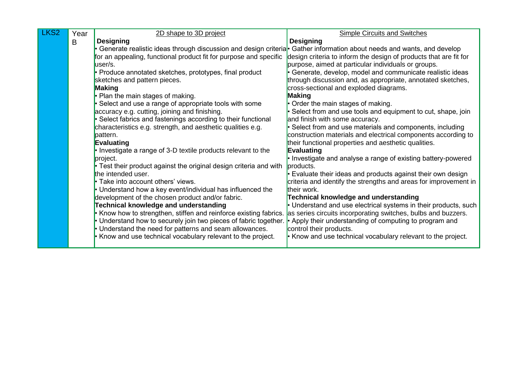| LKS <sub>2</sub> | Year | 2D shape to 3D project                                                                                                 | <b>Simple Circuits and Switches</b>                               |
|------------------|------|------------------------------------------------------------------------------------------------------------------------|-------------------------------------------------------------------|
|                  | B    | <b>Designing</b>                                                                                                       | <b>Designing</b>                                                  |
|                  |      | Generate realistic ideas through discussion and design criteria. Gather information about needs and wants, and develop |                                                                   |
|                  |      | for an appealing, functional product fit for purpose and specific                                                      | design criteria to inform the design of products that are fit for |
|                  |      | user/s.                                                                                                                | purpose, aimed at particular individuals or groups.               |
|                  |      | Produce annotated sketches, prototypes, final product                                                                  | · Generate, develop, model and communicate realistic ideas        |
|                  |      | sketches and pattern pieces.                                                                                           | through discussion and, as appropriate, annotated sketches,       |
|                  |      | Making                                                                                                                 | cross-sectional and exploded diagrams.                            |
|                  |      | Plan the main stages of making.                                                                                        | <b>Making</b>                                                     |
|                  |      | Select and use a range of appropriate tools with some                                                                  | • Order the main stages of making.                                |
|                  |      | accuracy e.g. cutting, joining and finishing.                                                                          | Select from and use tools and equipment to cut, shape, join       |
|                  |      | Select fabrics and fastenings according to their functional                                                            | and finish with some accuracy.                                    |
|                  |      | characteristics e.g. strength, and aesthetic qualities e.g.                                                            | Select from and use materials and components, including           |
|                  |      | pattern.                                                                                                               | construction materials and electrical components according to     |
|                  |      | Evaluating                                                                                                             | their functional properties and aesthetic qualities.              |
|                  |      | • Investigate a range of 3-D textile products relevant to the                                                          | Evaluating                                                        |
|                  |      | project.                                                                                                               | • Investigate and analyse a range of existing battery-powered     |
|                  |      | • Test their product against the original design criteria and with                                                     | products.                                                         |
|                  |      | the intended user.                                                                                                     | • Evaluate their ideas and products against their own design      |
|                  |      | • Take into account others' views.                                                                                     | criteria and identify the strengths and areas for improvement in  |
|                  |      | Understand how a key event/individual has influenced the                                                               | their work.                                                       |
|                  |      | development of the chosen product and/or fabric.                                                                       | <b>Technical knowledge and understanding</b>                      |
|                  |      | Technical knowledge and understanding                                                                                  | • Understand and use electrical systems in their products, such   |
|                  |      | Know how to strengthen, stiffen and reinforce existing fabrics.                                                        | as series circuits incorporating switches, bulbs and buzzers.     |
|                  |      | Understand how to securely join two pieces of fabric together.                                                         | • Apply their understanding of computing to program and           |
|                  |      | Understand the need for patterns and seam allowances.                                                                  | control their products.                                           |
|                  |      | Know and use technical vocabulary relevant to the project.                                                             | • Know and use technical vocabulary relevant to the project.      |
|                  |      |                                                                                                                        |                                                                   |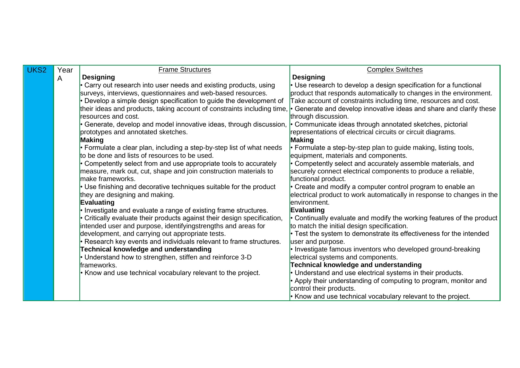| UKS <sub>2</sub> | Year | <b>Frame Structures</b>                                                     | <b>Complex Switches</b>                                                                                                                                                                                                                                             |
|------------------|------|-----------------------------------------------------------------------------|---------------------------------------------------------------------------------------------------------------------------------------------------------------------------------------------------------------------------------------------------------------------|
|                  | A    | <b>Designing</b>                                                            | <b>Designing</b>                                                                                                                                                                                                                                                    |
|                  |      | Carry out research into user needs and existing products, using             | Use research to develop a design specification for a functional                                                                                                                                                                                                     |
|                  |      | surveys, interviews, questionnaires and web-based resources.                | product that responds automatically to changes in the environment.                                                                                                                                                                                                  |
|                  |      | Develop a simple design specification to guide the development of           | Take account of constraints including time, resources and cost.                                                                                                                                                                                                     |
|                  |      | their ideas and products, taking account of constraints including time,     | Generate and develop innovative ideas and share and clarify these                                                                                                                                                                                                   |
|                  |      | resources and cost.                                                         | through discussion.                                                                                                                                                                                                                                                 |
|                  |      | Generate, develop and model innovative ideas, through discussion,           | Communicate ideas through annotated sketches, pictorial                                                                                                                                                                                                             |
|                  |      | prototypes and annotated sketches.                                          | representations of electrical circuits or circuit diagrams.                                                                                                                                                                                                         |
|                  |      | <b>Making</b>                                                               | <b>Making</b>                                                                                                                                                                                                                                                       |
|                  |      | • Formulate a clear plan, including a step-by-step list of what needs       | Eormulate a step-by-step plan to guide making, listing tools,                                                                                                                                                                                                       |
|                  |      | to be done and lists of resources to be used.                               | equipment, materials and components.                                                                                                                                                                                                                                |
|                  |      | Competently select from and use appropriate tools to accurately             | Competently select and accurately assemble materials, and                                                                                                                                                                                                           |
|                  |      | measure, mark out, cut, shape and join construction materials to            | securely connect electrical components to produce a reliable,                                                                                                                                                                                                       |
|                  |      | make frameworks.                                                            | functional product.                                                                                                                                                                                                                                                 |
|                  |      | • Use finishing and decorative techniques suitable for the product          | Create and modify a computer control program to enable an                                                                                                                                                                                                           |
|                  |      | they are designing and making.                                              | electrical product to work automatically in response to changes in the                                                                                                                                                                                              |
|                  |      | <b>Evaluating</b>                                                           | environment.                                                                                                                                                                                                                                                        |
|                  |      | • Investigate and evaluate a range of existing frame structures.            | <b>Evaluating</b>                                                                                                                                                                                                                                                   |
|                  |      | Critically evaluate their products against their design specification,      | Continually evaluate and modify the working features of the product                                                                                                                                                                                                 |
|                  |      | intended user and purpose, identifyingstrengths and areas for               | to match the initial design specification.                                                                                                                                                                                                                          |
|                  |      | development, and carrying out appropriate tests.                            | • Test the system to demonstrate its effectiveness for the intended                                                                                                                                                                                                 |
|                  |      | Research key events and individuals relevant to frame structures.           | user and purpose.                                                                                                                                                                                                                                                   |
|                  |      | Technical knowledge and understanding                                       | Investigate famous inventors who developed ground-breaking                                                                                                                                                                                                          |
|                  |      | Understand how to strengthen, stiffen and reinforce 3-D                     | electrical systems and components.                                                                                                                                                                                                                                  |
|                  |      |                                                                             |                                                                                                                                                                                                                                                                     |
|                  |      |                                                                             |                                                                                                                                                                                                                                                                     |
|                  |      |                                                                             |                                                                                                                                                                                                                                                                     |
|                  |      |                                                                             |                                                                                                                                                                                                                                                                     |
|                  |      | frameworks.<br>• Know and use technical vocabulary relevant to the project. | <b>Technical knowledge and understanding</b><br>Understand and use electrical systems in their products.<br>Apply their understanding of computing to program, monitor and<br>control their products.<br>Know and use technical vocabulary relevant to the project. |